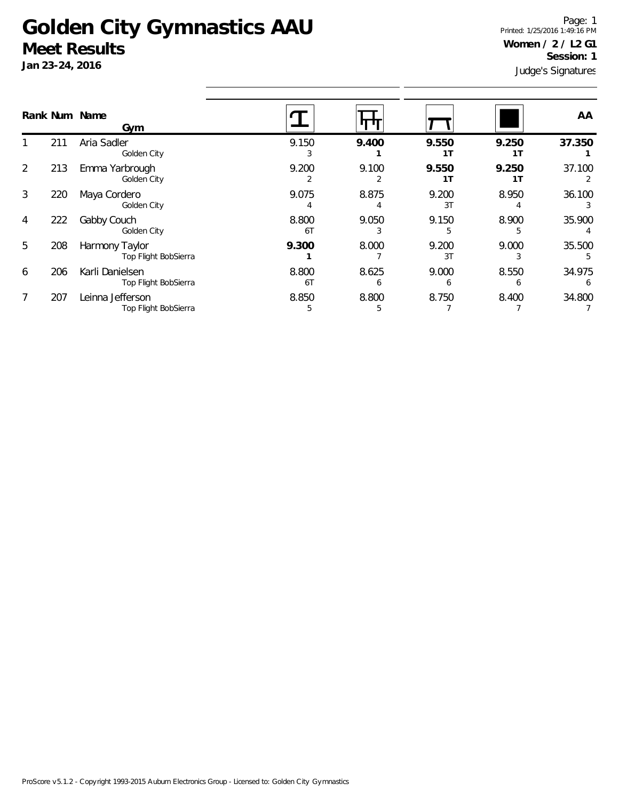## **Golden City Gymnastics AAU Meet Results**

**Jan 23-24, 2016**

Judge's Signatures Page: 1 Printed: 1/25/2016 1:49:16 PM **Women / 2 / L2 G1 Session: 1**

|   |     | Rank Num Name<br>Gym                     |             |            |                         |              | AA.         |
|---|-----|------------------------------------------|-------------|------------|-------------------------|--------------|-------------|
|   | 211 | Aria Sadler<br>Golden City               | 9.150       | 9.400      | 9.550<br>1T             | 9.250<br>1 T | 37.350      |
| 2 | 213 | Emma Yarbrough<br>Golden City            | 9.200       | 9.100<br>2 | 9.550<br>1 <sub>T</sub> | 9.250<br>1T  | 37.100      |
| 3 | 220 | Maya Cordero<br>Golden City              | 9.075       | 8.875      | 9.200<br>3T             | 8.950        | 36.100      |
| 4 | 222 | Gabby Couch<br>Golden City               | 8.800<br>6T | 9.050<br>3 | 9.150<br>5              | 8.900<br>5   | 35.900      |
| 5 | 208 | Harmony Taylor<br>Top Flight BobSierra   | 9.300       | 8.000      | 9.200<br>3T             | 9.000        | 35.500      |
| 6 | 206 | Karli Danielsen<br>Top Flight BobSierra  | 8.800<br>6T | 8.625<br>6 | 9.000<br>b              | 8.550<br>b   | 34.975<br>6 |
|   | 207 | Leinna Jefferson<br>Top Flight BobSierra | 8.850<br>5  | 8.800<br>5 | 8.750                   | 8.400        | 34.800      |
|   |     |                                          |             |            |                         |              |             |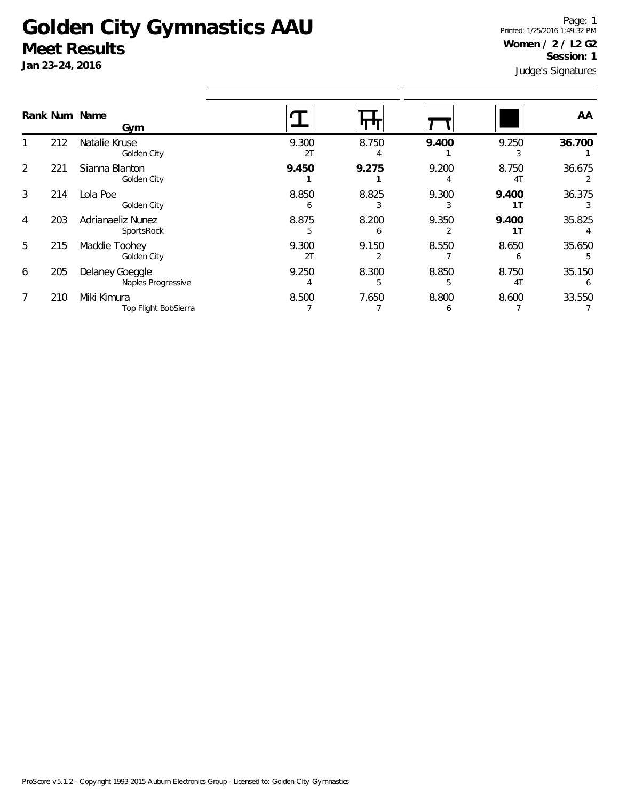## **Golden City Gymnastics AAU Meet Results**

**Jan 23-24, 2016**

Judge's Signatures Page: 1 Printed: 1/25/2016 1:49:32 PM **Women / 2 / L2 G2 Session: 1**

|   |     | Rank Num Name<br>Gym                  |             |            |            |                         | AA          |
|---|-----|---------------------------------------|-------------|------------|------------|-------------------------|-------------|
|   | 212 | Natalie Kruse<br>Golden City          | 9.300<br>2T | 8.750      | 9.400      | 9.250                   | 36.700      |
| 2 | 221 | Sianna Blanton<br>Golden City         | 9.450       | 9.275      | 9.200      | 8.750<br>4 <sub>T</sub> | 36.675      |
| 3 | 214 | Lola Poe<br>Golden City               | 8.850<br>h  | 8.825      | 9.300      | 9.400<br>1T             | 36.375      |
| 4 | 203 | Adrianaeliz Nunez<br>SportsRock       | 8.875<br>5  | 8.200<br>b | 9.350      | 9.400<br>1T             | 35.825      |
| 5 | 215 | Maddie Toohey<br>Golden City          | 9.300<br>2T | 9.150      | 8.550      | 8.650                   | 35.650      |
| 6 | 205 | Delaney Goeggle<br>Naples Progressive | 9.250       | 8.300<br>5 | 8.850<br>5 | 8.750<br>4 <sup>T</sup> | 35.150<br>6 |
| 7 | 210 | Miki Kimura<br>Top Flight BobSierra   | 8.500       | 7.650      | 8.800      | 8.600                   | 33.550      |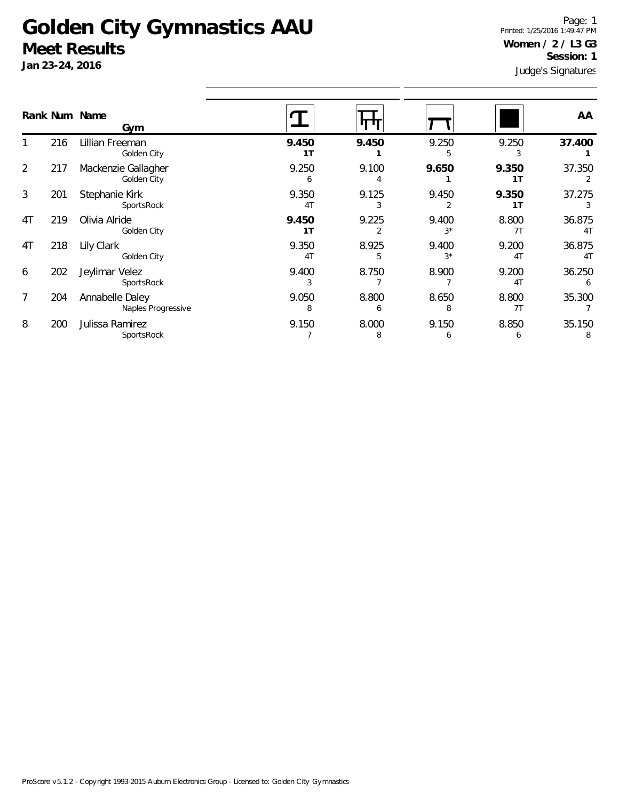## **Golden City Gymnastics AAU Meet Results**

**Jan 23-24, 2016**

Judge's Signatures Page: 1 Printed: 1/25/2016 1:49:47 PM **Women / 2 / L3 G3 Session: 1**

|    |     | Rank Num Name<br>Gym                  |                         |            |               |                         | AA                       |
|----|-----|---------------------------------------|-------------------------|------------|---------------|-------------------------|--------------------------|
|    | 216 | Lillian Freeman<br>Golden City        | 9.450<br>1 <sub>T</sub> | 9.450      | 9.250         | 9.250                   | 37.400                   |
| 2  | 217 | Mackenzie Gallagher<br>Golden City    | 9.250<br>6              | 9.100      | 9.650         | 9.350<br>1T             | 37.350                   |
| 3  | 201 | Stephanie Kirk<br>SportsRock          | 9.350<br>4 <sub>T</sub> | 9.125      | 9.450         | 9.350<br>1T             | 37.275                   |
| 4T | 219 | Olivia Alride<br>Golden City          | 9.450<br>1T             | 9.225      | 9.400<br>$3*$ | 8.800<br>7T             | 36.875<br>4 <sub>T</sub> |
| 4T | 218 | Lily Clark<br>Golden City             | 9.350<br>4 <sub>T</sub> | 8.925<br>5 | 9.400<br>$3*$ | 9.200<br>4T             | 36.875<br>4 <sub>T</sub> |
| 6  | 202 | Jeylimar Velez<br>SportsRock          | 9.400<br>3              | 8.750      | 8.900         | 9.200<br>4 <sub>T</sub> | 36.250<br>6              |
| 7  | 204 | Annabelle Daley<br>Naples Progressive | 9.050<br>8              | 8.800<br>6 | 8.650<br>8    | 8.800<br>7T             | 35.300                   |
| 8  | 200 | Julissa Ramirez<br>SportsRock         | 9.150                   | 8.000<br>8 | 9.150<br>6    | 8.850<br>6              | 35.150<br>8              |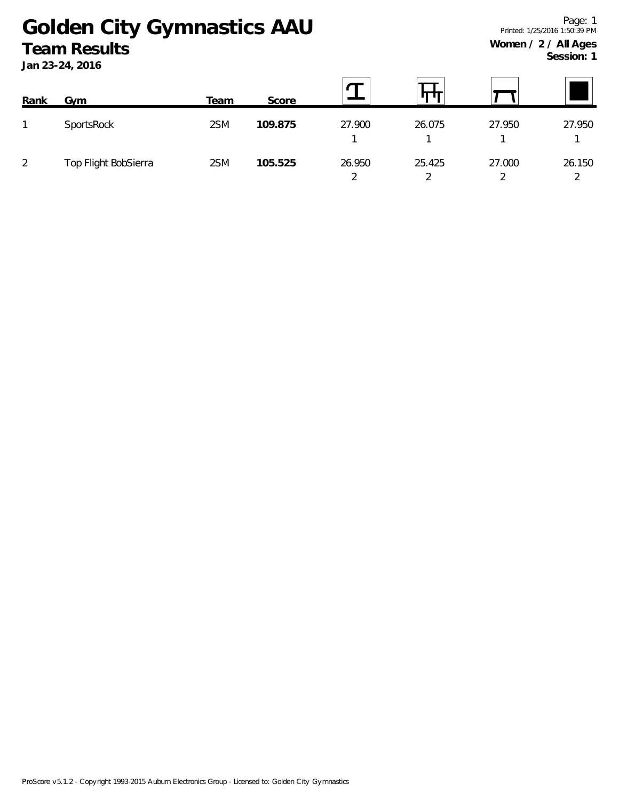## **Golden City Gymnastics AAU Team Results**

**Jan 23-24, 2016**

**Session: 1**

| Rank | Gym                  | Team | Score   |             |                                    |        |        |
|------|----------------------|------|---------|-------------|------------------------------------|--------|--------|
|      | SportsRock           | 2SM  | 109.875 | 27.900      | 26.075                             | 27.950 | 27.950 |
| 2    | Top Flight BobSierra | 2SM  | 105.525 | 26.950<br>◠ | 25.425<br>$\overline{\phantom{0}}$ | 27.000 | 26.150 |